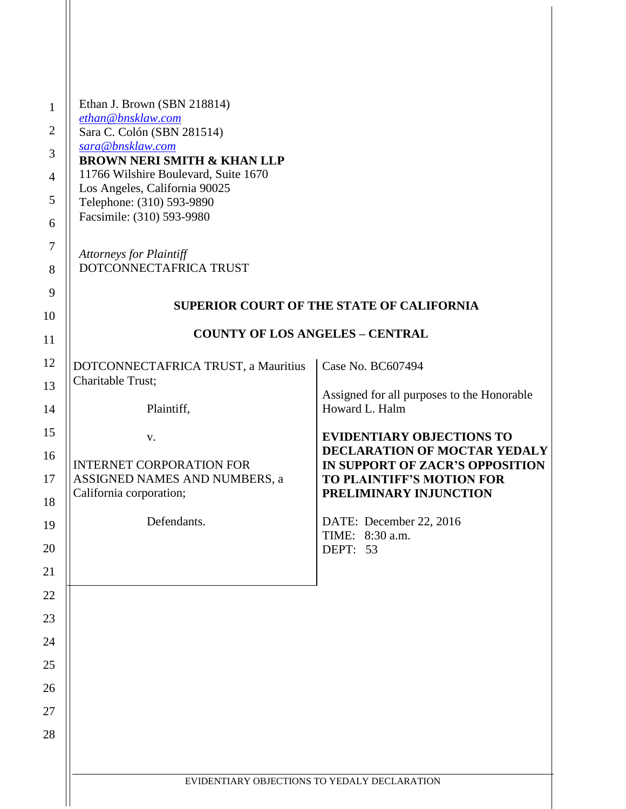| $\mathbf{1}$<br>$\overline{2}$ | Ethan J. Brown (SBN 218814)<br>ethan@bnsklaw.com<br>Sara C. Colón (SBN 281514) |                                                                 |
|--------------------------------|--------------------------------------------------------------------------------|-----------------------------------------------------------------|
| 3                              | sara@bnsklaw.com                                                               |                                                                 |
| $\overline{4}$                 | <b>BROWN NERI SMITH &amp; KHAN LLP</b><br>11766 Wilshire Boulevard, Suite 1670 |                                                                 |
| 5                              | Los Angeles, California 90025<br>Telephone: (310) 593-9890                     |                                                                 |
| 6                              | Facsimile: (310) 593-9980                                                      |                                                                 |
| $\tau$                         |                                                                                |                                                                 |
| 8                              | <b>Attorneys for Plaintiff</b><br>DOTCONNECTAFRICA TRUST                       |                                                                 |
| 9                              |                                                                                |                                                                 |
| 10                             |                                                                                | <b>SUPERIOR COURT OF THE STATE OF CALIFORNIA</b>                |
| 11                             | <b>COUNTY OF LOS ANGELES - CENTRAL</b>                                         |                                                                 |
| 12                             | DOTCONNECTAFRICA TRUST, a Mauritius                                            | Case No. BC607494                                               |
| 13                             | Charitable Trust;                                                              | Assigned for all purposes to the Honorable                      |
| 14                             | Plaintiff,                                                                     | Howard L. Halm                                                  |
| 15                             | V.                                                                             | <b>EVIDENTIARY OBJECTIONS TO</b>                                |
| 16                             | <b>INTERNET CORPORATION FOR</b>                                                | DECLARATION OF MOCTAR YEDALY<br>IN SUPPORT OF ZACR'S OPPOSITION |
| 17                             | ASSIGNED NAMES AND NUMBERS, a<br>California corporation;                       | TO PLAINTIFF'S MOTION FOR<br>PRELIMINARY INJUNCTION             |
| 18                             |                                                                                |                                                                 |
| 19                             | Defendants.                                                                    | DATE: December 22, 2016<br>TIME: 8:30 a.m.                      |
| 20                             |                                                                                | DEPT: 53                                                        |
| 21                             |                                                                                |                                                                 |
| 22                             |                                                                                |                                                                 |
| 23                             |                                                                                |                                                                 |
| 24                             |                                                                                |                                                                 |
| 25                             |                                                                                |                                                                 |
| 26<br>27                       |                                                                                |                                                                 |
| 28                             |                                                                                |                                                                 |
|                                |                                                                                |                                                                 |
|                                | EVIDENTIARY OBJECTIONS TO YEDALY DECLARATION                                   |                                                                 |
|                                |                                                                                |                                                                 |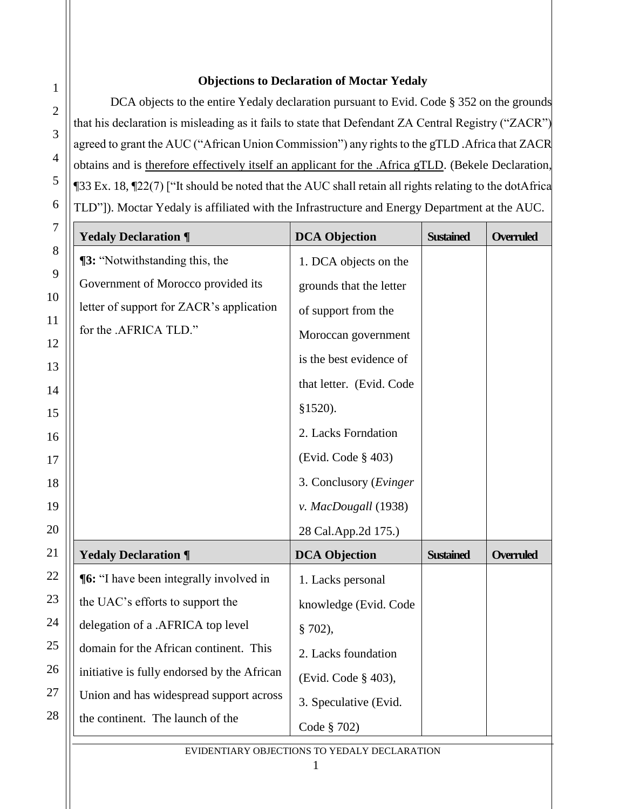## **Objections to Declaration of Moctar Yedaly**

1

2

3

4

5

6

DCA objects to the entire Yedaly declaration pursuant to Evid. Code § 352 on the grounds that his declaration is misleading as it fails to state that Defendant ZA Central Registry ("ZACR") agreed to grant the AUC ("African Union Commission") any rights to the gTLD .Africa that ZACR obtains and is therefore effectively itself an applicant for the .Africa gTLD. (Bekele Declaration, ¶33 Ex. 18, ¶22(7) ["It should be noted that the AUC shall retain all rights relating to the dotAfrica TLD"]). Moctar Yedaly is affiliated with the Infrastructure and Energy Department at the AUC.

| $\tau$   | <b>Yedaly Declaration ¶</b>                    | <b>DCA Objection</b>     | <b>Sustained</b> | <b>Overruled</b> |
|----------|------------------------------------------------|--------------------------|------------------|------------------|
| 8        | <b>13:</b> "Notwithstanding this, the          | 1. DCA objects on the    |                  |                  |
| 9        | Government of Morocco provided its             | grounds that the letter  |                  |                  |
| 10       | letter of support for ZACR's application       | of support from the      |                  |                  |
| 11<br>12 | for the .AFRICA TLD."                          | Moroccan government      |                  |                  |
| 13       |                                                | is the best evidence of  |                  |                  |
| 14       |                                                | that letter. (Evid. Code |                  |                  |
| 15       |                                                | $$1520$ ).               |                  |                  |
| 16       |                                                | 2. Lacks Forndation      |                  |                  |
| 17       |                                                | (Evid. Code § 403)       |                  |                  |
| 18       |                                                | 3. Conclusory (Evinger   |                  |                  |
| 19       |                                                | v. MacDougall (1938)     |                  |                  |
| 20       |                                                | 28 Cal.App.2d 175.)      |                  |                  |
| 21       | <b>Yedaly Declaration ¶</b>                    | <b>DCA Objection</b>     | <b>Sustained</b> | <b>Overruled</b> |
| 22       | <b>[6:</b> "I have been integrally involved in | 1. Lacks personal        |                  |                  |
| 23       | the UAC's efforts to support the               | knowledge (Evid. Code    |                  |                  |
| 24       | delegation of a .AFRICA top level              | $$702$ ),                |                  |                  |
| 25       | domain for the African continent. This         | 2. Lacks foundation      |                  |                  |
| 26       | initiative is fully endorsed by the African    | (Evid. Code § 403),      |                  |                  |
| 27       | Union and has widespread support across        | 3. Speculative (Evid.    |                  |                  |
| 28       | the continent. The launch of the               | Code § 702)              |                  |                  |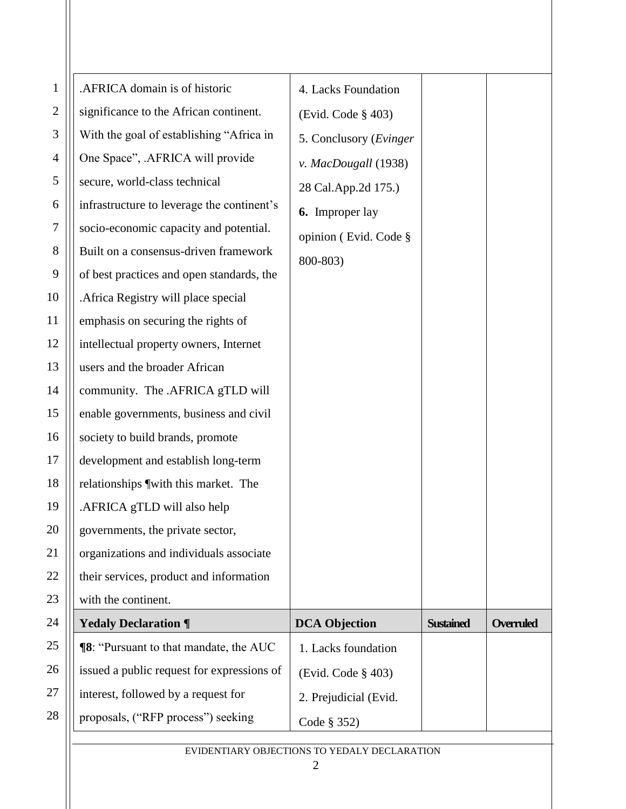| $\mathbf{1}$ | .AFRICA domain is of historic                 | 4. Lacks Foundation     |                  |                  |
|--------------|-----------------------------------------------|-------------------------|------------------|------------------|
| $\sqrt{2}$   | significance to the African continent.        | (Evid. Code § 403)      |                  |                  |
| 3            | With the goal of establishing "Africa in      | 5. Conclusory (Evinger) |                  |                  |
| 4            | One Space", .AFRICA will provide              | v. MacDougall (1938)    |                  |                  |
| 5            | secure, world-class technical                 | 28 Cal.App.2d 175.)     |                  |                  |
| 6            | infrastructure to leverage the continent's    | <b>6.</b> Improper lay  |                  |                  |
| 7            | socio-economic capacity and potential.        | opinion (Evid. Code §   |                  |                  |
| 8            | Built on a consensus-driven framework         | 800-803)                |                  |                  |
| 9            | of best practices and open standards, the     |                         |                  |                  |
| 10           | . Africa Registry will place special          |                         |                  |                  |
| 11           | emphasis on securing the rights of            |                         |                  |                  |
| 12           | intellectual property owners, Internet        |                         |                  |                  |
| 13           | users and the broader African                 |                         |                  |                  |
| 14           | community. The .AFRICA gTLD will              |                         |                  |                  |
| 15           | enable governments, business and civil        |                         |                  |                  |
| 16           | society to build brands, promote              |                         |                  |                  |
| 17           | development and establish long-term           |                         |                  |                  |
| 18           | relationships [with this market. The          |                         |                  |                  |
| 19           | .AFRICA gTLD will also help                   |                         |                  |                  |
| 20           | governments, the private sector,              |                         |                  |                  |
| 21           | organizations and individuals associate       |                         |                  |                  |
| 22           | their services, product and information       |                         |                  |                  |
| 23           | with the continent.                           |                         |                  |                  |
| 24           | <b>Yedaly Declaration ¶</b>                   | <b>DCA Objection</b>    | <b>Sustained</b> | <b>Overruled</b> |
| 25           | <b>18:</b> "Pursuant to that mandate, the AUC | 1. Lacks foundation     |                  |                  |
| 26           | issued a public request for expressions of    | (Evid. Code § 403)      |                  |                  |
| 27           | interest, followed by a request for           | 2. Prejudicial (Evid.   |                  |                  |
| 28           | proposals, ("RFP process") seeking            | Code § 352)             |                  |                  |
|              |                                               |                         |                  |                  |

## EVIDENTIARY OBJECTIONS TO YEDALY DECLARATION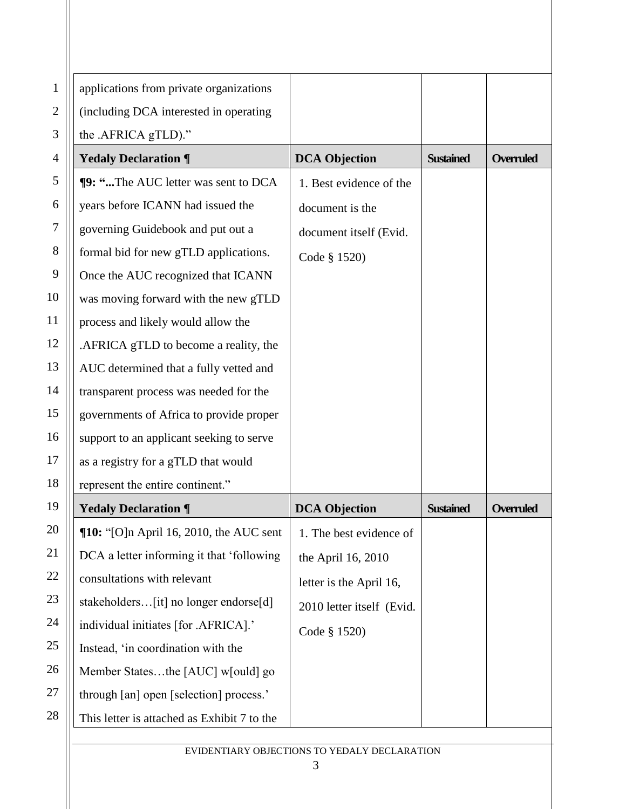| $\mathbf{1}$ | applications from private organizations     |                                              |                  |                  |
|--------------|---------------------------------------------|----------------------------------------------|------------------|------------------|
| $\mathbf{2}$ | (including DCA interested in operating      |                                              |                  |                  |
| 3            | the .AFRICA gTLD)."                         |                                              |                  |                  |
| 4            | <b>Yedaly Declaration ¶</b>                 | <b>DCA Objection</b>                         | <b>Sustained</b> | <b>Overruled</b> |
| 5            | ¶9: "The AUC letter was sent to DCA         | 1. Best evidence of the                      |                  |                  |
| 6            | years before ICANN had issued the           | document is the                              |                  |                  |
| $\tau$       | governing Guidebook and put out a           | document itself (Evid.                       |                  |                  |
| 8            | formal bid for new gTLD applications.       | Code § 1520)                                 |                  |                  |
| 9            | Once the AUC recognized that ICANN          |                                              |                  |                  |
| 10           | was moving forward with the new gTLD        |                                              |                  |                  |
| 11           | process and likely would allow the          |                                              |                  |                  |
| 12           | .AFRICA gTLD to become a reality, the       |                                              |                  |                  |
| 13           | AUC determined that a fully vetted and      |                                              |                  |                  |
| 14           | transparent process was needed for the      |                                              |                  |                  |
| 15           | governments of Africa to provide proper     |                                              |                  |                  |
| 16           | support to an applicant seeking to serve    |                                              |                  |                  |
| 17           | as a registry for a gTLD that would         |                                              |                  |                  |
| 18           | represent the entire continent."            |                                              |                  |                  |
| 19           | <b>Yedaly Declaration ¶</b>                 | <b>DCA Objection</b>                         | <b>Sustained</b> | <b>Overruled</b> |
| 20           | $\P$ 10: "[O]n April 16, 2010, the AUC sent | 1. The best evidence of                      |                  |                  |
| 21           | DCA a letter informing it that 'following   | the April 16, 2010                           |                  |                  |
| 22           | consultations with relevant                 | letter is the April 16,                      |                  |                  |
| 23           | stakeholders[it] no longer endorse[d]       | 2010 letter itself (Evid.                    |                  |                  |
| 24           | individual initiates [for .AFRICA].'        | Code § 1520)                                 |                  |                  |
| 25           | Instead, 'in coordination with the          |                                              |                  |                  |
| 26           | Member Statesthe [AUC] w[ould] go           |                                              |                  |                  |
| 27           | through [an] open [selection] process.'     |                                              |                  |                  |
| 28           | This letter is attached as Exhibit 7 to the |                                              |                  |                  |
|              |                                             | EVIDENTIARY OBJECTIONS TO YEDALY DECLARATION |                  |                  |
|              |                                             |                                              |                  |                  |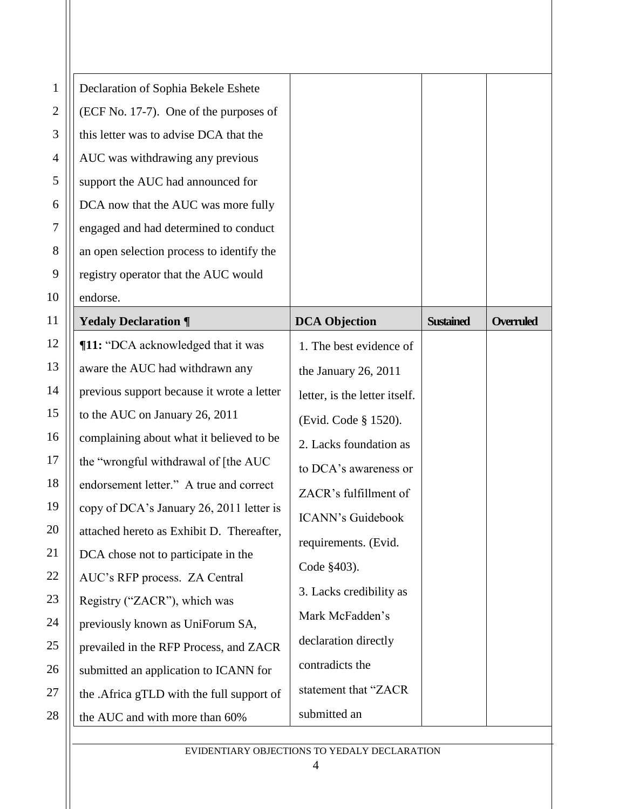| 1            | Declaration of Sophia Bekele Eshete        |                               |                  |                  |
|--------------|--------------------------------------------|-------------------------------|------------------|------------------|
| $\mathbf{2}$ | (ECF No. 17-7). One of the purposes of     |                               |                  |                  |
| 3            | this letter was to advise DCA that the     |                               |                  |                  |
| 4            | AUC was withdrawing any previous           |                               |                  |                  |
| 5            | support the AUC had announced for          |                               |                  |                  |
| 6            | DCA now that the AUC was more fully        |                               |                  |                  |
| $\tau$       | engaged and had determined to conduct      |                               |                  |                  |
| 8            | an open selection process to identify the  |                               |                  |                  |
| 9            | registry operator that the AUC would       |                               |                  |                  |
| 10           | endorse.                                   |                               |                  |                  |
| 11           | <b>Yedaly Declaration ¶</b>                | <b>DCA Objection</b>          | <b>Sustained</b> | <b>Overruled</b> |
| 12           | ¶11: "DCA acknowledged that it was         | 1. The best evidence of       |                  |                  |
| 13           | aware the AUC had withdrawn any            | the January 26, 2011          |                  |                  |
| 14           | previous support because it wrote a letter | letter, is the letter itself. |                  |                  |
| 15           | to the AUC on January 26, 2011             | (Evid. Code § 1520).          |                  |                  |
| 16           | complaining about what it believed to be   | 2. Lacks foundation as        |                  |                  |
| 17           | the "wrongful withdrawal of [the AUC       | to DCA's awareness or         |                  |                  |
| 18           | endorsement letter." A true and correct    | ZACR's fulfillment of         |                  |                  |
| 19           | copy of DCA's January 26, 2011 letter is   | <b>ICANN's Guidebook</b>      |                  |                  |
| 20           | attached hereto as Exhibit D. Thereafter,  | requirements. (Evid.          |                  |                  |
| 21           | DCA chose not to participate in the        | Code §403).                   |                  |                  |
| 22           | AUC's RFP process. ZA Central              | 3. Lacks credibility as       |                  |                  |
| 23           | Registry ("ZACR"), which was               | Mark McFadden's               |                  |                  |
| 24           | previously known as UniForum SA,           |                               |                  |                  |
| 25           | prevailed in the RFP Process, and ZACR     | declaration directly          |                  |                  |
| 26           | submitted an application to ICANN for      | contradicts the               |                  |                  |
| 27           | the .Africa gTLD with the full support of  | statement that "ZACR          |                  |                  |
| 28           | the AUC and with more than 60%             | submitted an                  |                  |                  |
|              |                                            |                               |                  |                  |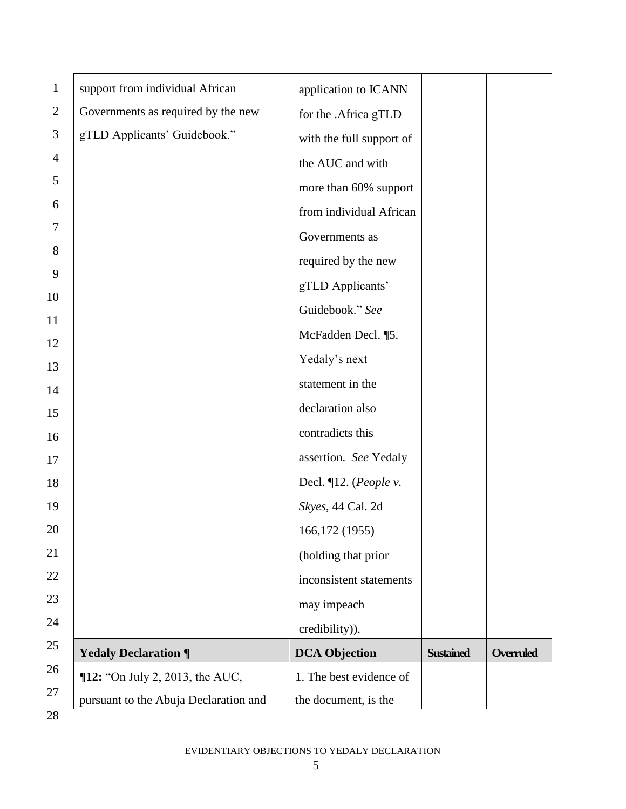| $\mathbf{1}$   | support from individual African       | application to ICANN      |                  |                  |
|----------------|---------------------------------------|---------------------------|------------------|------------------|
| $\mathbf{2}$   | Governments as required by the new    | for the .Africa gTLD      |                  |                  |
| $\mathfrak{Z}$ | gTLD Applicants' Guidebook."          | with the full support of  |                  |                  |
| $\overline{4}$ |                                       | the AUC and with          |                  |                  |
| 5              |                                       | more than 60% support     |                  |                  |
| 6              |                                       | from individual African   |                  |                  |
| $\tau$         |                                       | Governments as            |                  |                  |
| 8              |                                       | required by the new       |                  |                  |
| 9              |                                       | gTLD Applicants'          |                  |                  |
| 10             |                                       | Guidebook." See           |                  |                  |
| 11             |                                       | McFadden Decl. ¶5.        |                  |                  |
| 12             |                                       | Yedaly's next             |                  |                  |
| 13             |                                       | statement in the          |                  |                  |
| 14<br>15       |                                       | declaration also          |                  |                  |
| 16             |                                       | contradicts this          |                  |                  |
| 17             |                                       | assertion. See Yedaly     |                  |                  |
| 18             |                                       | Decl. $\P$ 12. (People v. |                  |                  |
| 19             |                                       | Skyes, 44 Cal. 2d         |                  |                  |
| 20             |                                       | 166, 172 (1955)           |                  |                  |
| 21             |                                       | (holding that prior       |                  |                  |
| 22             |                                       | inconsistent statements   |                  |                  |
| 23             |                                       | may impeach               |                  |                  |
| 24             |                                       | credibility)).            |                  |                  |
| 25             | <b>Yedaly Declaration ¶</b>           | <b>DCA Objection</b>      | <b>Sustained</b> | <b>Overruled</b> |
| 26             | ¶12: "On July 2, 2013, the AUC,       | 1. The best evidence of   |                  |                  |
| 27             | pursuant to the Abuja Declaration and | the document, is the      |                  |                  |
| 28             |                                       |                           |                  |                  |
|                |                                       |                           |                  |                  |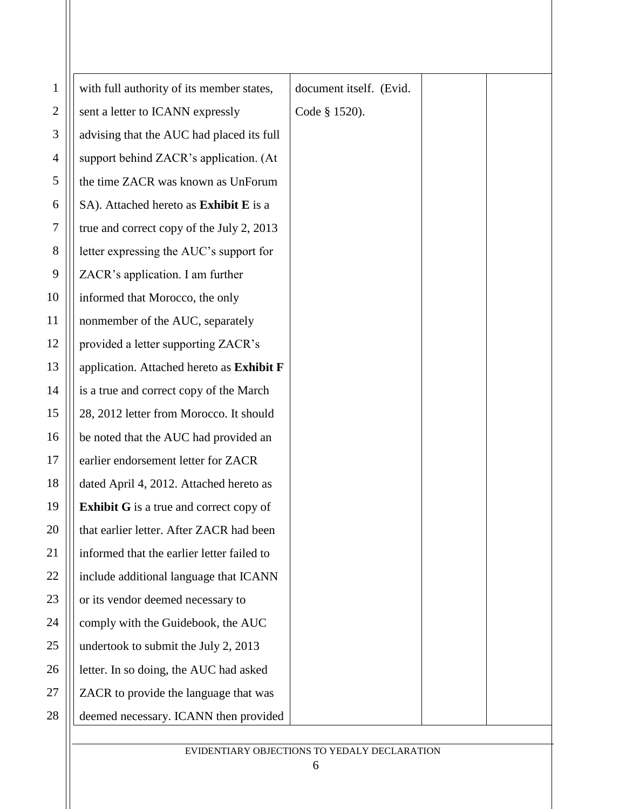| $\mathbf 1$    | with full authority of its member states,      | document itself. (Evid. |
|----------------|------------------------------------------------|-------------------------|
| $\overline{c}$ | sent a letter to ICANN expressly               | Code § 1520).           |
| 3              | advising that the AUC had placed its full      |                         |
| 4              | support behind ZACR's application. (At         |                         |
| 5              | the time ZACR was known as UnForum             |                         |
| 6              | SA). Attached hereto as Exhibit E is a         |                         |
| 7              | true and correct copy of the July 2, 2013      |                         |
| 8              | letter expressing the AUC's support for        |                         |
| 9              | ZACR's application. I am further               |                         |
| 10             | informed that Morocco, the only                |                         |
| 11             | nonmember of the AUC, separately               |                         |
| 12             | provided a letter supporting ZACR's            |                         |
| 13             | application. Attached hereto as Exhibit F      |                         |
| 14             | is a true and correct copy of the March        |                         |
| 15             | 28, 2012 letter from Morocco. It should        |                         |
| 16             | be noted that the AUC had provided an          |                         |
| 17             | earlier endorsement letter for ZACR            |                         |
| 18             | dated April 4, 2012. Attached hereto as        |                         |
| 19             | <b>Exhibit G</b> is a true and correct copy of |                         |
| 20             | that earlier letter. After ZACR had been       |                         |
| 21             | informed that the earlier letter failed to     |                         |
| 22             | include additional language that ICANN         |                         |
| 23             | or its vendor deemed necessary to              |                         |
| 24             | comply with the Guidebook, the AUC             |                         |
| 25             | undertook to submit the July 2, 2013           |                         |
| 26             | letter. In so doing, the AUC had asked         |                         |
| 27             | ZACR to provide the language that was          |                         |
| 28             | deemed necessary. ICANN then provided          |                         |
|                |                                                |                         |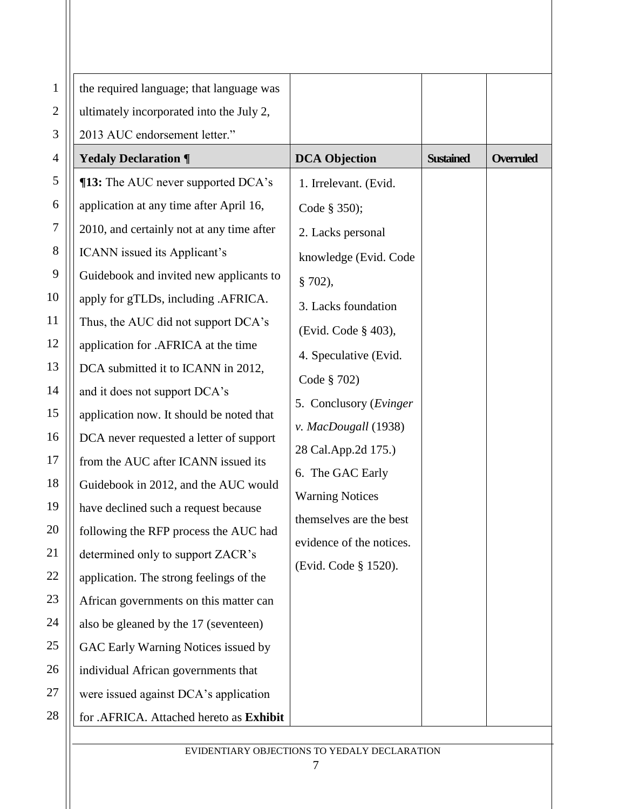| $\mathbf{1}$ | the required language; that language was  |                          |                  |                  |
|--------------|-------------------------------------------|--------------------------|------------------|------------------|
| $\mathbf{2}$ | ultimately incorporated into the July 2,  |                          |                  |                  |
| 3            | 2013 AUC endorsement letter."             |                          |                  |                  |
| 4            | <b>Yedaly Declaration ¶</b>               | <b>DCA Objection</b>     | <b>Sustained</b> | <b>Overruled</b> |
| 5            | <b>¶13:</b> The AUC never supported DCA's | 1. Irrelevant. (Evid.    |                  |                  |
| 6            | application at any time after April 16,   | Code § 350);             |                  |                  |
| $\tau$       | 2010, and certainly not at any time after | 2. Lacks personal        |                  |                  |
| 8            | ICANN issued its Applicant's              | knowledge (Evid. Code    |                  |                  |
| 9            | Guidebook and invited new applicants to   | § 702),                  |                  |                  |
| 10           | apply for gTLDs, including .AFRICA.       | 3. Lacks foundation      |                  |                  |
| 11           | Thus, the AUC did not support DCA's       | (Evid. Code § 403),      |                  |                  |
| 12           | application for .AFRICA at the time       | 4. Speculative (Evid.    |                  |                  |
| 13           | DCA submitted it to ICANN in 2012,        | Code § 702)              |                  |                  |
| 14           | and it does not support DCA's             | 5. Conclusory (Evinger   |                  |                  |
| 15           | application now. It should be noted that  | v. MacDougall (1938)     |                  |                  |
| 16           | DCA never requested a letter of support   | 28 Cal.App.2d 175.)      |                  |                  |
| 17           | from the AUC after ICANN issued its       | 6. The GAC Early         |                  |                  |
| 18           | Guidebook in 2012, and the AUC would      | <b>Warning Notices</b>   |                  |                  |
| 19           | have declined such a request because      | themselves are the best  |                  |                  |
| 20           | following the RFP process the AUC had     | evidence of the notices. |                  |                  |
| 21           | determined only to support ZACR's         | (Evid. Code § 1520).     |                  |                  |
| 22           | application. The strong feelings of the   |                          |                  |                  |
| 23           | African governments on this matter can    |                          |                  |                  |
| 24           | also be gleaned by the 17 (seventeen)     |                          |                  |                  |
| 25           | GAC Early Warning Notices issued by       |                          |                  |                  |
| 26           | individual African governments that       |                          |                  |                  |
| 27           | were issued against DCA's application     |                          |                  |                  |
| 28           | for .AFRICA. Attached hereto as Exhibit   |                          |                  |                  |

EVIDENTIARY OBJECTIONS TO YEDALY DECLARATION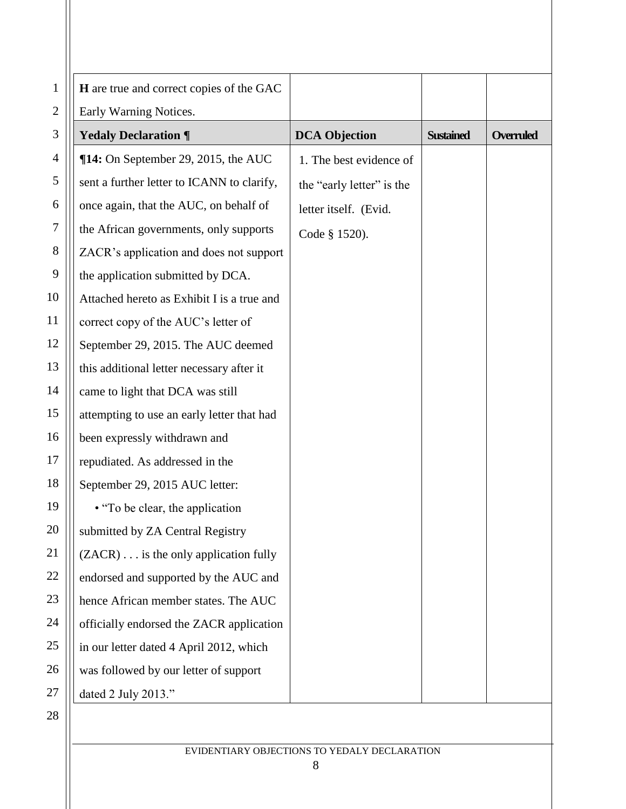| $\mathbf{1}$     | H are true and correct copies of the GAC   |                           |                  |                  |
|------------------|--------------------------------------------|---------------------------|------------------|------------------|
| $\mathbf{2}$     | Early Warning Notices.                     |                           |                  |                  |
| 3                | <b>Yedaly Declaration ¶</b>                | <b>DCA Objection</b>      | <b>Sustained</b> | <b>Overruled</b> |
| 4                | $\P$ 14: On September 29, 2015, the AUC    | 1. The best evidence of   |                  |                  |
| 5                | sent a further letter to ICANN to clarify, | the "early letter" is the |                  |                  |
| 6                | once again, that the AUC, on behalf of     | letter itself. (Evid.     |                  |                  |
| $\boldsymbol{7}$ | the African governments, only supports     | Code § 1520).             |                  |                  |
| $8\,$            | ZACR's application and does not support    |                           |                  |                  |
| 9                | the application submitted by DCA.          |                           |                  |                  |
| 10               | Attached hereto as Exhibit I is a true and |                           |                  |                  |
| 11               | correct copy of the AUC's letter of        |                           |                  |                  |
| 12               | September 29, 2015. The AUC deemed         |                           |                  |                  |
| 13               | this additional letter necessary after it  |                           |                  |                  |
| 14               | came to light that DCA was still           |                           |                  |                  |
| 15               | attempting to use an early letter that had |                           |                  |                  |
| 16               | been expressly withdrawn and               |                           |                  |                  |
| 17               | repudiated. As addressed in the            |                           |                  |                  |
| 18               | September 29, 2015 AUC letter:             |                           |                  |                  |
| 19               | • "To be clear, the application"           |                           |                  |                  |
| 20               | submitted by ZA Central Registry           |                           |                  |                  |
| 21               | (ZACR) is the only application fully       |                           |                  |                  |
| 22               | endorsed and supported by the AUC and      |                           |                  |                  |
| 23               | hence African member states. The AUC       |                           |                  |                  |
| 24               | officially endorsed the ZACR application   |                           |                  |                  |
| 25               | in our letter dated 4 April 2012, which    |                           |                  |                  |
| 26               | was followed by our letter of support      |                           |                  |                  |
| 27               | dated 2 July 2013."                        |                           |                  |                  |
| 28               |                                            |                           |                  |                  |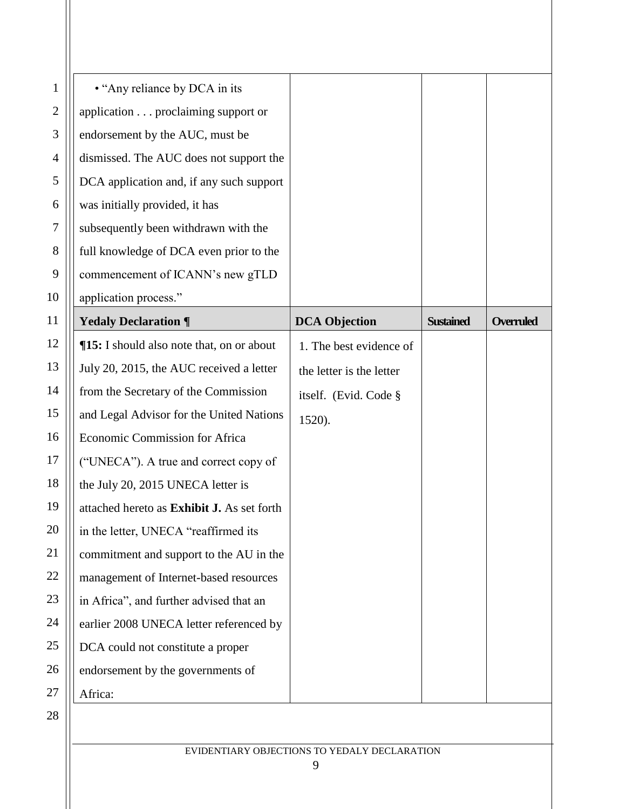| $\mathbf{1}$   | • "Any reliance by DCA in its              |                          |                  |                  |
|----------------|--------------------------------------------|--------------------------|------------------|------------------|
| $\mathbf{2}$   | application proclaiming support or         |                          |                  |                  |
| 3              | endorsement by the AUC, must be            |                          |                  |                  |
| $\overline{4}$ | dismissed. The AUC does not support the    |                          |                  |                  |
| 5              | DCA application and, if any such support   |                          |                  |                  |
| 6              | was initially provided, it has             |                          |                  |                  |
| $\tau$         | subsequently been withdrawn with the       |                          |                  |                  |
| 8              | full knowledge of DCA even prior to the    |                          |                  |                  |
| 9              | commencement of ICANN's new gTLD           |                          |                  |                  |
| 10             | application process."                      |                          |                  |                  |
| 11             | <b>Yedaly Declaration ¶</b>                | <b>DCA Objection</b>     | <b>Sustained</b> | <b>Overruled</b> |
| 12             | ¶15: I should also note that, on or about  | 1. The best evidence of  |                  |                  |
| 13             | July 20, 2015, the AUC received a letter   | the letter is the letter |                  |                  |
| 14             | from the Secretary of the Commission       | itself. (Evid. Code §    |                  |                  |
| 15             | and Legal Advisor for the United Nations   | 1520).                   |                  |                  |
| 16             | Economic Commission for Africa             |                          |                  |                  |
| 17             | ("UNECA"). A true and correct copy of      |                          |                  |                  |
| 18             | the July 20, 2015 UNECA letter is          |                          |                  |                  |
| 19             | attached hereto as Exhibit J. As set forth |                          |                  |                  |
| 20             | in the letter, UNECA "reaffirmed its       |                          |                  |                  |
| 21             | commitment and support to the AU in the    |                          |                  |                  |
| 22             | management of Internet-based resources     |                          |                  |                  |
| 23             | in Africa", and further advised that an    |                          |                  |                  |
| 24             | earlier 2008 UNECA letter referenced by    |                          |                  |                  |
| 25             | DCA could not constitute a proper          |                          |                  |                  |
|                |                                            |                          |                  |                  |
| 26             | endorsement by the governments of          |                          |                  |                  |
| 27             | Africa:                                    |                          |                  |                  |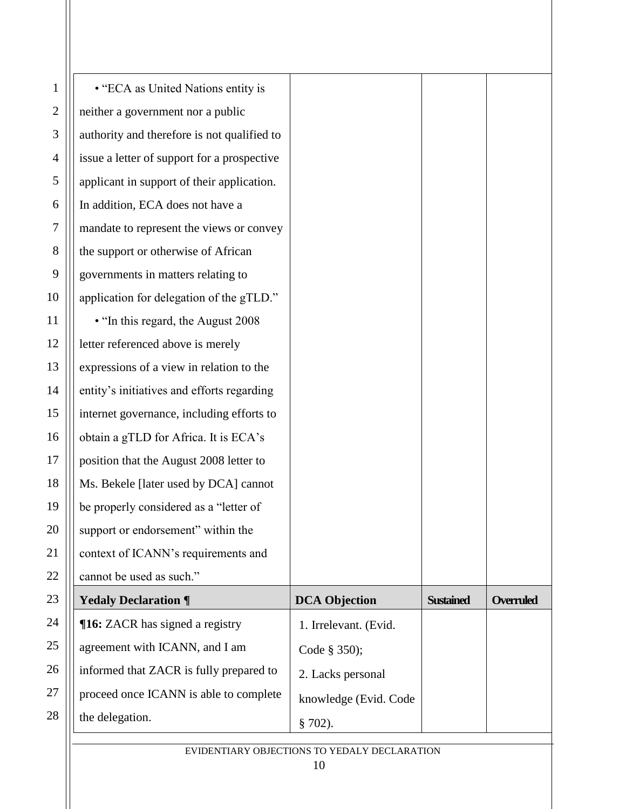| $\mathbf{1}$ | • "ECA as United Nations entity is          |                       |                  |                  |
|--------------|---------------------------------------------|-----------------------|------------------|------------------|
| $\mathbf{2}$ | neither a government nor a public           |                       |                  |                  |
| 3            | authority and therefore is not qualified to |                       |                  |                  |
| 4            | issue a letter of support for a prospective |                       |                  |                  |
| 5            | applicant in support of their application.  |                       |                  |                  |
| 6            | In addition, ECA does not have a            |                       |                  |                  |
| $\tau$       | mandate to represent the views or convey    |                       |                  |                  |
| 8            | the support or otherwise of African         |                       |                  |                  |
| 9            | governments in matters relating to          |                       |                  |                  |
| 10           | application for delegation of the gTLD."    |                       |                  |                  |
| 11           | • "In this regard, the August 2008          |                       |                  |                  |
| 12           | letter referenced above is merely           |                       |                  |                  |
| 13           | expressions of a view in relation to the    |                       |                  |                  |
| 14           | entity's initiatives and efforts regarding  |                       |                  |                  |
| 15           | internet governance, including efforts to   |                       |                  |                  |
| 16           | obtain a gTLD for Africa. It is ECA's       |                       |                  |                  |
| 17           | position that the August 2008 letter to     |                       |                  |                  |
| 18           | Ms. Bekele [later used by DCA] cannot       |                       |                  |                  |
| 19           | be properly considered as a "letter of      |                       |                  |                  |
| 20           | support or endorsement" within the          |                       |                  |                  |
| 21           | context of ICANN's requirements and         |                       |                  |                  |
| 22           | cannot be used as such."                    |                       |                  |                  |
| 23           | <b>Yedaly Declaration ¶</b>                 | <b>DCA Objection</b>  | <b>Sustained</b> | <b>Overruled</b> |
| 24           | <b>16:</b> ZACR has signed a registry       | 1. Irrelevant. (Evid. |                  |                  |
| 25           | agreement with ICANN, and I am              | Code § 350);          |                  |                  |
| 26           | informed that ZACR is fully prepared to     | 2. Lacks personal     |                  |                  |
| 27           | proceed once ICANN is able to complete      | knowledge (Evid. Code |                  |                  |
| 28           | the delegation.                             | $§ 702$ ).            |                  |                  |
|              |                                             |                       |                  |                  |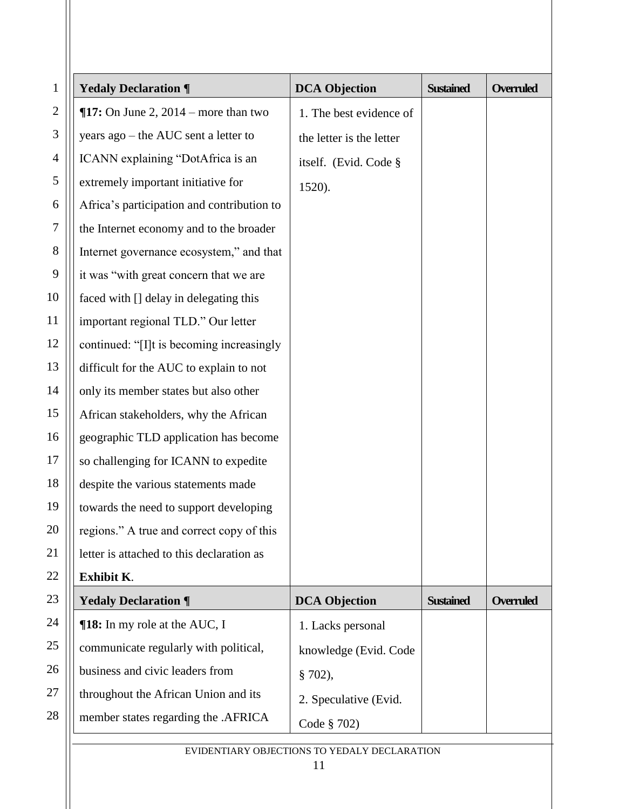| $\mathbf{1}$   | <b>Yedaly Declaration ¶</b>                | <b>DCA Objection</b>     | <b>Sustained</b> | <b>Overruled</b> |
|----------------|--------------------------------------------|--------------------------|------------------|------------------|
| $\mathbf{2}$   | $\P$ 17: On June 2, 2014 – more than two   | 1. The best evidence of  |                  |                  |
| $\mathfrak{Z}$ | years ago – the AUC sent a letter to       | the letter is the letter |                  |                  |
| $\overline{4}$ | ICANN explaining "DotAfrica is an          | itself. (Evid. Code §    |                  |                  |
| 5              | extremely important initiative for         | 1520).                   |                  |                  |
| 6              | Africa's participation and contribution to |                          |                  |                  |
| $\tau$         | the Internet economy and to the broader    |                          |                  |                  |
| $8\,$          | Internet governance ecosystem," and that   |                          |                  |                  |
| 9              | it was "with great concern that we are     |                          |                  |                  |
| 10             | faced with [] delay in delegating this     |                          |                  |                  |
| 11             | important regional TLD." Our letter        |                          |                  |                  |
| 12             | continued: "[I]t is becoming increasingly  |                          |                  |                  |
| 13             | difficult for the AUC to explain to not    |                          |                  |                  |
| 14             | only its member states but also other      |                          |                  |                  |
| 15             | African stakeholders, why the African      |                          |                  |                  |
| 16             | geographic TLD application has become      |                          |                  |                  |
| 17             | so challenging for ICANN to expedite       |                          |                  |                  |
| 18             | despite the various statements made        |                          |                  |                  |
| 19             | towards the need to support developing     |                          |                  |                  |
| 20             | regions." A true and correct copy of this  |                          |                  |                  |
| 21             | letter is attached to this declaration as  |                          |                  |                  |
| 22             | Exhibit K.                                 |                          |                  |                  |
| 23             | <b>Yedaly Declaration ¶</b>                | <b>DCA Objection</b>     | <b>Sustained</b> | <b>Overruled</b> |
| 24             | <b>[18:</b> In my role at the AUC, I       | 1. Lacks personal        |                  |                  |
| 25             | communicate regularly with political,      | knowledge (Evid. Code    |                  |                  |
| 26             | business and civic leaders from            | § 702),                  |                  |                  |
| 27             | throughout the African Union and its       | 2. Speculative (Evid.    |                  |                  |
| 28             | member states regarding the .AFRICA        | Code § 702)              |                  |                  |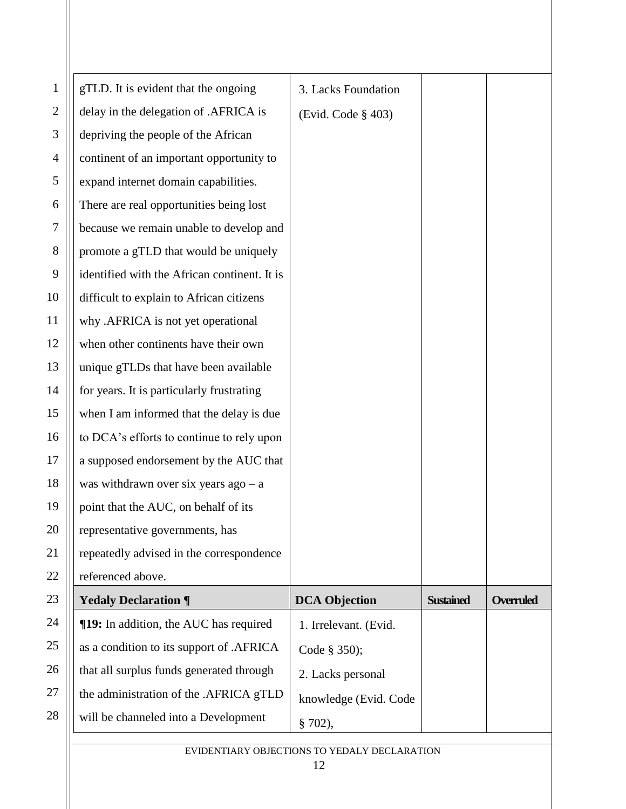| $\mathbf{1}$ | gTLD. It is evident that the ongoing          | 3. Lacks Foundation   |                  |                  |
|--------------|-----------------------------------------------|-----------------------|------------------|------------------|
| $\mathbf{2}$ | delay in the delegation of .AFRICA is         | (Evid. Code § 403)    |                  |                  |
| 3            | depriving the people of the African           |                       |                  |                  |
| 4            | continent of an important opportunity to      |                       |                  |                  |
| 5            | expand internet domain capabilities.          |                       |                  |                  |
| 6            | There are real opportunities being lost       |                       |                  |                  |
| 7            | because we remain unable to develop and       |                       |                  |                  |
| 8            | promote a gTLD that would be uniquely         |                       |                  |                  |
| 9            | identified with the African continent. It is  |                       |                  |                  |
| 10           | difficult to explain to African citizens      |                       |                  |                  |
| 11           | why .AFRICA is not yet operational            |                       |                  |                  |
| 12           | when other continents have their own          |                       |                  |                  |
| 13           | unique gTLDs that have been available         |                       |                  |                  |
| 14           | for years. It is particularly frustrating     |                       |                  |                  |
| 15           | when I am informed that the delay is due      |                       |                  |                  |
| 16           | to DCA's efforts to continue to rely upon     |                       |                  |                  |
| 17           | a supposed endorsement by the AUC that        |                       |                  |                  |
| 18           | was withdrawn over six years $ago - a$        |                       |                  |                  |
| 19           | point that the AUC, on behalf of its          |                       |                  |                  |
| 20           | representative governments, has               |                       |                  |                  |
| 21           | repeatedly advised in the correspondence      |                       |                  |                  |
| 22           | referenced above.                             |                       |                  |                  |
| 23           | <b>Yedaly Declaration ¶</b>                   | <b>DCA Objection</b>  | <b>Sustained</b> | <b>Overruled</b> |
| 24           | <b>[19:</b> In addition, the AUC has required | 1. Irrelevant. (Evid. |                  |                  |
| 25           | as a condition to its support of .AFRICA      | Code § 350);          |                  |                  |
| 26           | that all surplus funds generated through      | 2. Lacks personal     |                  |                  |
| 27           | the administration of the .AFRICA gTLD        | knowledge (Evid. Code |                  |                  |
| 28           | will be channeled into a Development          | § 702),               |                  |                  |
|              |                                               |                       |                  |                  |